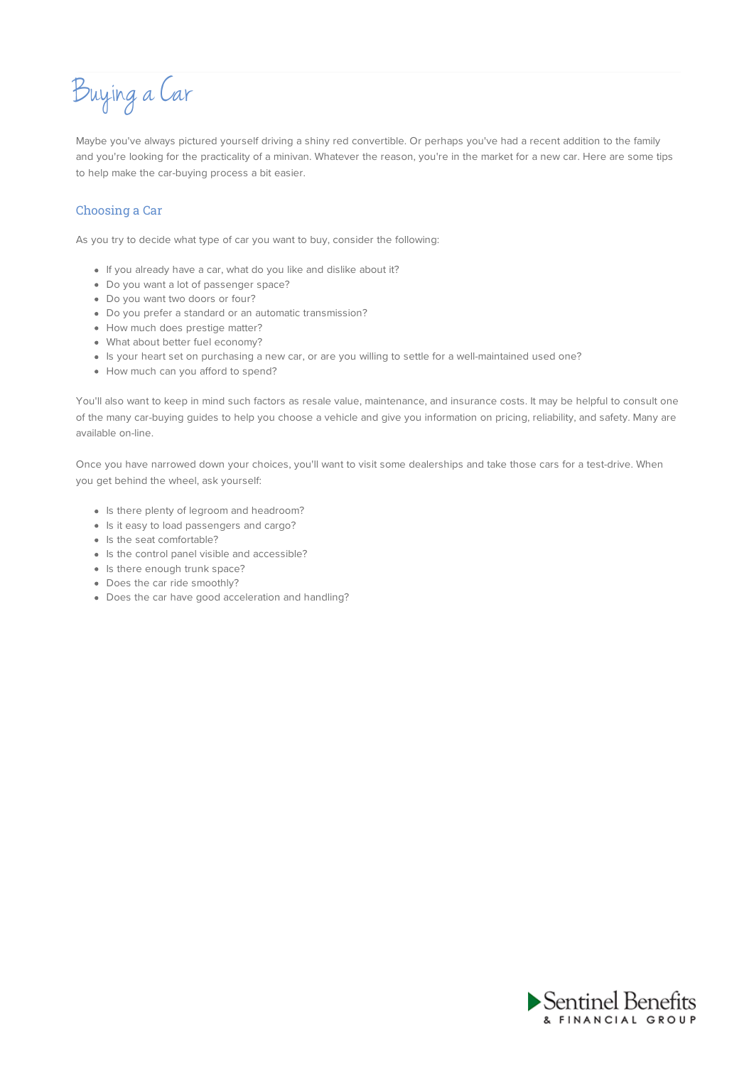Buying aCar

Maybe you've always pictured yourself driving a shiny red convertible. Or perhaps you've had a recent addition to the family and you're looking for the practicality of a minivan. Whatever the reason, you're in the market for a new car. Here are some tips to help make the car-buying process a bit easier.

## Choosing a Car

As you try to decide what type of car you want to buy, consider the following:

- If you already have a car, what do you like and dislike about it?
- Do you want a lot of passenger space?
- Do you want two doors or four?
- Do you prefer a standard or an automatic transmission?
- How much does prestige matter?
- What about better fuel economy?
- Is your heart set on purchasing a new car, or are you willing to settle for a well-maintained used one?
- How much can you afford to spend?

You'll also want to keep in mind such factors as resale value, maintenance, and insurance costs. It may be helpful to consult one of the many car-buying guides to help you choose a vehicle and give you information on pricing, reliability, and safety. Many are available on-line.

Once you have narrowed down your choices, you'll want to visit some dealerships and take those cars for a test-drive. When you get behind the wheel, ask yourself:

- Is there plenty of legroom and headroom?
- Is it easy to load passengers and cargo?
- Is the seat comfortable?
- Is the control panel visible and accessible?
- Is there enough trunk space?
- Does the car ride smoothly?
- Does the car have good acceleration and handling?